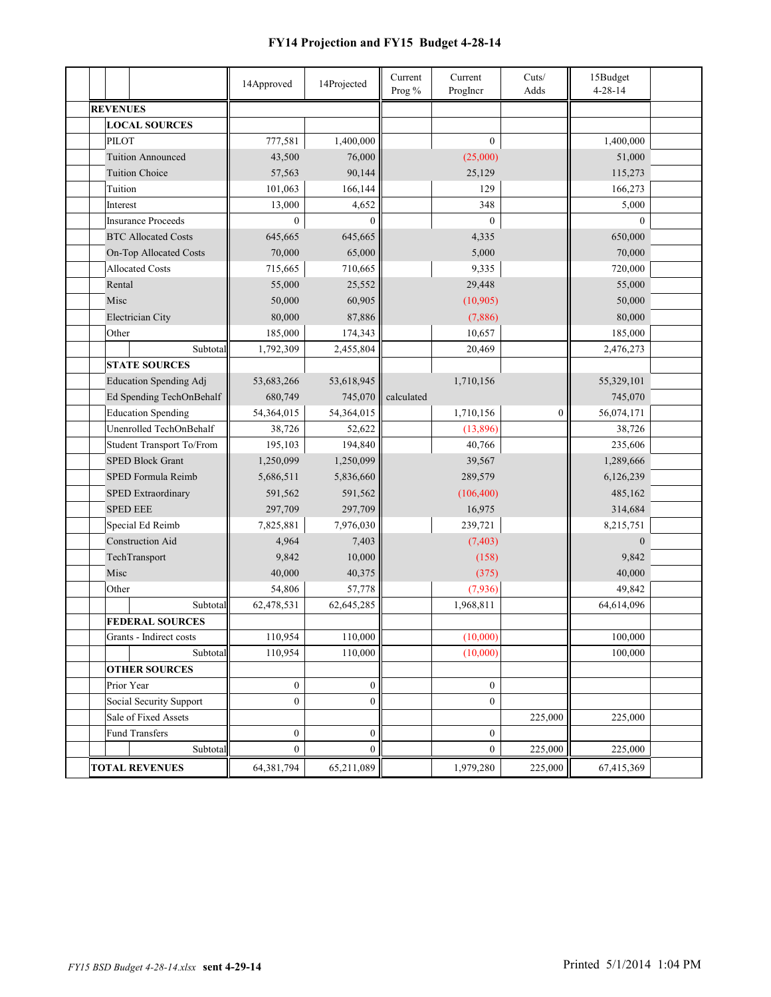## **FY14 Projection and FY15 Budget 4-28-14**

|                               | 14Approved       | 14Projected      | Current<br>Prog % | Current<br>ProgIncr | Cuts/<br>Adds | 15Budget<br>$4 - 28 - 14$ |  |
|-------------------------------|------------------|------------------|-------------------|---------------------|---------------|---------------------------|--|
| <b>REVENUES</b>               |                  |                  |                   |                     |               |                           |  |
| <b>LOCAL SOURCES</b>          |                  |                  |                   |                     |               |                           |  |
| PILOT                         | 777,581          | 1,400,000        |                   | $\mathbf{0}$        |               | 1,400,000                 |  |
| <b>Tuition Announced</b>      | 43,500           | 76,000           |                   | (25,000)            |               | 51,000                    |  |
| <b>Tuition Choice</b>         | 57,563           | 90,144           |                   | 25,129              |               | 115,273                   |  |
| Tuition                       | 101,063          | 166,144          |                   | 129                 |               | 166,273                   |  |
| Interest                      | 13,000           | 4,652            |                   | 348                 |               | 5,000                     |  |
| <b>Insurance Proceeds</b>     | $\overline{0}$   | $\theta$         |                   | $\boldsymbol{0}$    |               | $\Omega$                  |  |
| <b>BTC Allocated Costs</b>    | 645,665          | 645,665          |                   | 4,335               |               | 650,000                   |  |
| On-Top Allocated Costs        | 70,000           | 65,000           |                   | 5,000               |               | 70,000                    |  |
| <b>Allocated Costs</b>        | 715,665          | 710,665          |                   | 9,335               |               | 720,000                   |  |
| Rental                        | 55,000           | 25,552           |                   | 29,448              |               | 55,000                    |  |
| Misc                          | 50,000           | 60,905           |                   | (10, 905)           |               | 50,000                    |  |
| Electrician City              | 80,000           | 87,886           |                   | (7,886)             |               | 80,000                    |  |
| Other                         | 185,000          | 174,343          |                   | 10,657              |               | 185,000                   |  |
| Subtotal                      | 1,792,309        | 2,455,804        |                   | 20,469              |               | 2,476,273                 |  |
| <b>STATE SOURCES</b>          |                  |                  |                   |                     |               |                           |  |
| <b>Education Spending Adj</b> | 53,683,266       | 53,618,945       |                   | 1,710,156           |               | 55,329,101                |  |
| Ed Spending TechOnBehalf      | 680,749          | 745,070          | calculated        |                     |               | 745,070                   |  |
| <b>Education Spending</b>     | 54,364,015       | 54,364,015       |                   | 1,710,156           | $\mathbf{0}$  | 56,074,171                |  |
| Unenrolled TechOnBehalf       | 38,726           | 52,622           |                   | (13,896)            |               | 38,726                    |  |
| Student Transport To/From     | 195,103          | 194,840          |                   | 40,766              |               | 235,606                   |  |
| <b>SPED Block Grant</b>       | 1,250,099        | 1,250,099        |                   | 39,567              |               | 1,289,666                 |  |
| SPED Formula Reimb            | 5,686,511        | 5,836,660        |                   | 289,579             |               | 6,126,239                 |  |
| SPED Extraordinary            | 591,562          | 591,562          |                   | (106, 400)          |               | 485,162                   |  |
| <b>SPED EEE</b>               | 297,709          | 297,709          |                   | 16,975              |               | 314,684                   |  |
| Special Ed Reimb              | 7,825,881        | 7,976,030        |                   | 239,721             |               | 8,215,751                 |  |
| <b>Construction Aid</b>       | 4,964            | 7,403            |                   | (7, 403)            |               | $\Omega$                  |  |
| TechTransport                 | 9,842            | 10,000           |                   | (158)               |               | 9,842                     |  |
| Misc                          | 40,000           | 40,375           |                   | (375)               |               | 40,000                    |  |
| Other                         | 54,806           | 57,778           |                   | (7,936)             |               | 49,842                    |  |
| Subtotal                      | 62,478,531       | 62,645,285       |                   | 1,968,811           |               | 64,614,096                |  |
| <b>FEDERAL SOURCES</b>        |                  |                  |                   |                     |               |                           |  |
| Grants - Indirect costs       | 110,954          | 110,000          |                   | (10,000)            |               | 100,000                   |  |
| Subtotal                      | 110,954          | 110,000          |                   | (10,000)            |               | 100,000                   |  |
| <b>OTHER SOURCES</b>          |                  |                  |                   |                     |               |                           |  |
| Prior Year                    | $\mathbf{0}$     | $\boldsymbol{0}$ |                   | $\boldsymbol{0}$    |               |                           |  |
| Social Security Support       | $\overline{0}$   | $\boldsymbol{0}$ |                   | $\boldsymbol{0}$    |               |                           |  |
| Sale of Fixed Assets          |                  |                  |                   |                     | 225,000       | 225,000                   |  |
| Fund Transfers                | $\boldsymbol{0}$ | $\boldsymbol{0}$ |                   | $\boldsymbol{0}$    |               |                           |  |
| Subtotal                      | $\mathbf{0}$     | $\boldsymbol{0}$ |                   | $\overline{0}$      | 225,000       | 225,000                   |  |
| <b>TOTAL REVENUES</b>         | 64, 381, 794     | 65,211,089       |                   | 1,979,280           | 225,000       | 67,415,369                |  |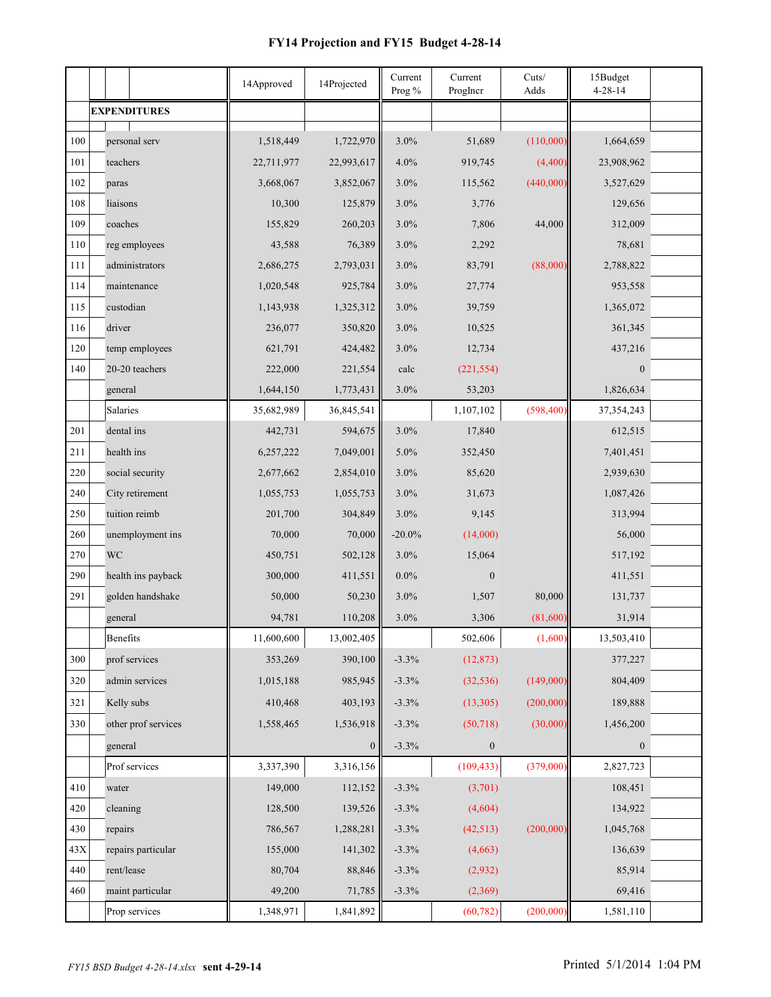## **FY14 Projection and FY15 Budget 4-28-14**

|            |                     | 14Approved           | 14Projected      | Current<br>Prog % | Current<br>ProgIncr | Cuts/<br>Adds | 15Budget<br>$4 - 28 - 14$ |  |
|------------|---------------------|----------------------|------------------|-------------------|---------------------|---------------|---------------------------|--|
|            | <b>EXPENDITURES</b> |                      |                  |                   |                     |               |                           |  |
| 100        | personal serv       | 1,518,449            | 1,722,970        | 3.0%              | 51,689              | (110,000)     | 1,664,659                 |  |
| 101        | teachers            | 22,711,977           | 22,993,617       | 4.0%              | 919,745             | (4,400)       | 23,908,962                |  |
| 102        | paras               | 3,668,067            | 3,852,067        | 3.0%              | 115,562             | (440,000)     | 3,527,629                 |  |
| 108        | liaisons            | 10,300               | 125,879          | 3.0%              | 3,776               |               | 129,656                   |  |
| 109        | coaches             | 155,829              | 260,203          | 3.0%              | 7,806               | 44,000        | 312,009                   |  |
| 110        | reg employees       | 43,588               | 76,389           | 3.0%              | 2,292               |               | 78,681                    |  |
| 111        | administrators      | 2,686,275            | 2,793,031        | 3.0%              | 83,791              | (88,000)      | 2,788,822                 |  |
| 114        | maintenance         |                      | 925,784          | 3.0%              |                     |               | 953,558                   |  |
|            |                     | 1,020,548            |                  |                   | 27,774              |               |                           |  |
| 115<br>116 | custodian<br>driver | 1,143,938<br>236,077 | 1,325,312        | 3.0%              | 39,759<br>10,525    |               | 1,365,072                 |  |
|            |                     |                      | 350,820          | 3.0%              |                     |               | 361,345                   |  |
| 120        | temp employees      | 621,791              | 424,482          | 3.0%              | 12,734              |               | 437,216                   |  |
| 140        | 20-20 teachers      | 222,000              | 221,554          | calc              | (221, 554)          |               | $\mathbf{0}$              |  |
|            | general             | 1,644,150            | 1,773,431        | 3.0%              | 53,203              |               | 1,826,634                 |  |
|            | Salaries            | 35,682,989           | 36,845,541       |                   | 1,107,102           | (598, 400)    | 37, 354, 243              |  |
| 201        | dental ins          | 442,731              | 594,675          | 3.0%              | 17,840              |               | 612,515                   |  |
| 211        | health ins          | 6,257,222            | 7,049,001        | 5.0%              | 352,450             |               | 7,401,451                 |  |
| 220        | social security     | 2,677,662            | 2,854,010        | 3.0%              | 85,620              |               | 2,939,630                 |  |
| 240        | City retirement     | 1,055,753            | 1,055,753        | 3.0%              | 31,673              |               | 1,087,426                 |  |
| 250        | tuition reimb       | 201,700              | 304,849          | $3.0\%$           | 9,145               |               | 313,994                   |  |
| 260        | unemployment ins    | 70,000               | 70,000           | $-20.0%$          | (14,000)            |               | 56,000                    |  |
| 270        | <b>WC</b>           | 450,751              | 502,128          | 3.0%              | 15,064              |               | 517,192                   |  |
| 290        | health ins payback  | 300,000              | 411,551          | $0.0\%$           | $\boldsymbol{0}$    |               | 411,551                   |  |
| 291        | golden handshake    | 50,000               | 50,230           | 3.0%              | 1,507               | 80,000        | 131,737                   |  |
|            | general             | 94,781               | 110,208          | 3.0%              | 3,306               | (81,600)      | 31,914                    |  |
|            | Benefits            | 11,600,600           | 13,002,405       |                   | 502,606             | (1,600)       | 13,503,410                |  |
| 300        | prof services       | 353,269              | 390,100          | $-3.3%$           | (12, 873)           |               | 377,227                   |  |
| 320        | admin services      | 1,015,188            | 985,945          | $-3.3%$           | (32, 536)           | (149,000)     | 804,409                   |  |
| 321        | Kelly subs          | 410,468              | 403,193          | $-3.3%$           | (13, 305)           | (200,000)     | 189,888                   |  |
| 330        | other prof services | 1,558,465            | 1,536,918        | $-3.3%$           | (50, 718)           | (30,000)      | 1,456,200                 |  |
|            | general             |                      | $\boldsymbol{0}$ | $-3.3%$           | $\boldsymbol{0}$    |               | $\boldsymbol{0}$          |  |
|            | Prof services       | 3,337,390            | 3,316,156        |                   | (109, 433)          | (379,000)     | 2,827,723                 |  |
| 410        | water               | 149,000              | 112,152          | $-3.3%$           | (3,701)             |               | 108,451                   |  |
| 420        | cleaning            | 128,500              | 139,526          | $-3.3%$           | (4,604)             |               | 134,922                   |  |
| 430        | repairs             | 786,567              | 1,288,281        | $-3.3%$           | (42, 513)           | (200,000)     | 1,045,768                 |  |
| 43X        | repairs particular  | 155,000              | 141,302          | $-3.3%$           | (4,663)             |               | 136,639                   |  |
| 440        | rent/lease          | 80,704               | 88,846           | $-3.3%$           | (2,932)             |               | 85,914                    |  |
| 460        | maint particular    | 49,200               | 71,785           | $-3.3%$           | (2,369)             |               | 69,416                    |  |
|            | Prop services       | 1,348,971            | 1,841,892        |                   | (60, 782)           | (200,000)     | 1,581,110                 |  |